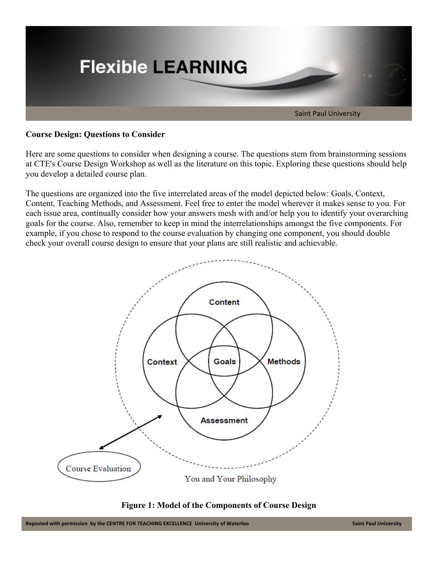

### **Course Design: Questions to Consider**

Here are some questions to consider when designing a course. The questions stem from brainstorming sessions at CTE's Course Design Workshop as well as the literature on this topic. Exploring these questions should help you develop a detailed course plan.

The questions are organized into the five interrelated areas of the model depicted below: Goals, Context, Content, Teaching Methods, and Assessment. Feel free to enter the model wherever it makes sense to you. For each issue area, continually consider how your answers mesh with and/or help you to identify your overarching goals for the course. Also, remember to keep in mind the interrelationships amongst the five components. For example, if you chose to respond to the course evaluation by changing one component, you should double check your overall course design to ensure that your plans are still realistic and achievable.



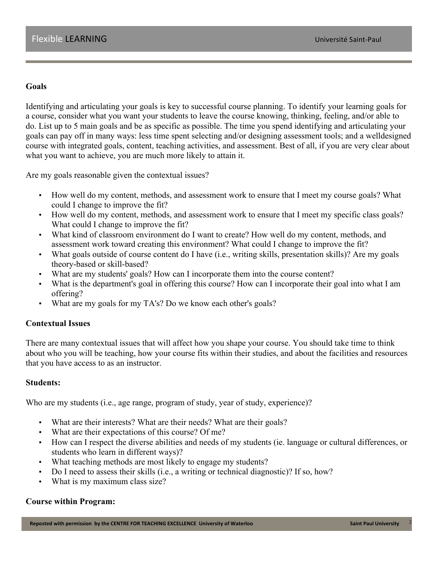### **Goals**

Identifying and articulating your goals is key to successful course planning. To identify your learning goals for a course, consider what you want your students to leave the course knowing, thinking, feeling, and/or able to do. List up to 5 main goals and be as specific as possible. The time you spend identifying and articulating your goals can pay off in many ways: less time spent selecting and/or designing assessment tools; and a welldesigned course with integrated goals, content, teaching activities, and assessment. Best of all, if you are very clear about what you want to achieve, you are much more likely to attain it.

Are my goals reasonable given the contextual issues?

- How well do my content, methods, and assessment work to ensure that I meet my course goals? What could I change to improve the fit?
- How well do my content, methods, and assessment work to ensure that I meet my specific class goals? What could I change to improve the fit?
- What kind of classroom environment do I want to create? How well do my content, methods, and assessment work toward creating this environment? What could I change to improve the fit?
- What goals outside of course content do I have (i.e., writing skills, presentation skills)? Are my goals theory-based or skill-based?
- What are my students' goals? How can I incorporate them into the course content?
- What is the department's goal in offering this course? How can I incorporate their goal into what I am offering?
- What are my goals for my TA's? Do we know each other's goals?

# **Contextual Issues**

There are many contextual issues that will affect how you shape your course. You should take time to think about who you will be teaching, how your course fits within their studies, and about the facilities and resources that you have access to as an instructor.

### **Students:**

Who are my students (i.e., age range, program of study, year of study, experience)?

- What are their interests? What are their needs? What are their goals?
- What are their expectations of this course? Of me?
- How can I respect the diverse abilities and needs of my students (ie. language or cultural differences, or students who learn in different ways)?
- What teaching methods are most likely to engage my students?
- Do I need to assess their skills (i.e., a writing or technical diagnostic)? If so, how?
- What is my maximum class size?

#### **Course within Program:**

**Reposted with permission by the CENTRE FOR TEACHING EXCELLENCE University of Waterloo Cancel 2008 Cannon 2008 CALCERT 2008 CALCERT 2008 CALCERT 2008 CALCERT 2008 CALCERT 2008 CALCERT 2008 CALCERT 2008**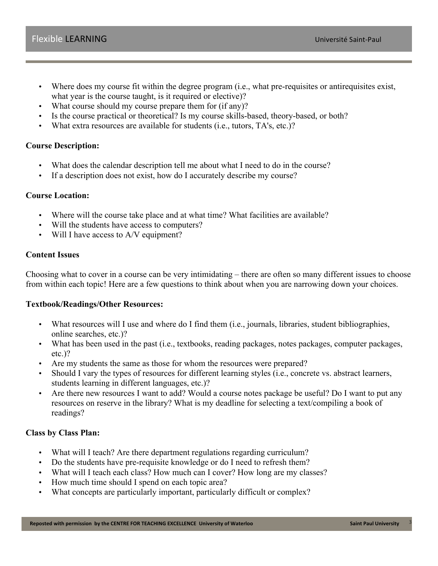- Where does my course fit within the degree program (i.e., what pre-requisites or antirequisites exist, what year is the course taught, is it required or elective)?
- What course should my course prepare them for (if any)?
- Is the course practical or theoretical? Is my course skills-based, theory-based, or both?
- What extra resources are available for students (i.e., tutors, TA's, etc.)?

# **Course Description:**

- What does the calendar description tell me about what I need to do in the course?
- If a description does not exist, how do I accurately describe my course?

# **Course Location:**

- Where will the course take place and at what time? What facilities are available?
- Will the students have access to computers?
- Will I have access to A/V equipment?

### **Content Issues**

Choosing what to cover in a course can be very intimidating – there are often so many different issues to choose from within each topic! Here are a few questions to think about when you are narrowing down your choices.

# **Textbook/Readings/Other Resources:**

- What resources will I use and where do I find them (i.e., journals, libraries, student bibliographies, online searches, etc.)?
- What has been used in the past (i.e., textbooks, reading packages, notes packages, computer packages, etc.)?
- Are my students the same as those for whom the resources were prepared?
- Should I vary the types of resources for different learning styles (i.e., concrete vs. abstract learners, students learning in different languages, etc.)?
- Are there new resources I want to add? Would a course notes package be useful? Do I want to put any resources on reserve in the library? What is my deadline for selecting a text/compiling a book of readings?

# **Class by Class Plan:**

- What will I teach? Are there department regulations regarding curriculum?
- Do the students have pre-requisite knowledge or do I need to refresh them?
- What will I teach each class? How much can I cover? How long are my classes?
- How much time should I spend on each topic area?
- What concepts are particularly important, particularly difficult or complex?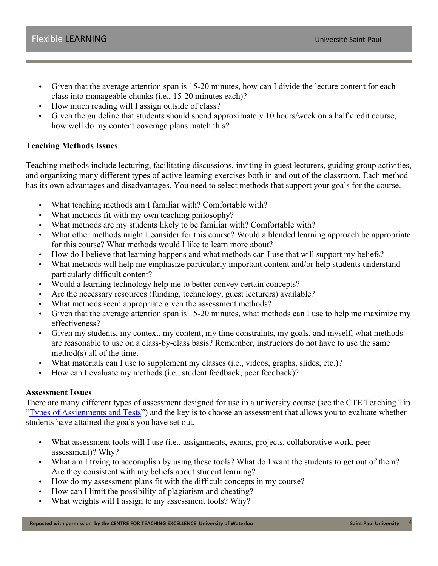- Given that the average attention span is 15-20 minutes, how can I divide the lecture content for each class into manageable chunks (i.e., 15-20 minutes each)?
- How much reading will I assign outside of class?
- Given the guideline that students should spend approximately 10 hours/week on a half credit course, how well do my content coverage plans match this?

# **Teaching Methods Issues**

Teaching methods include lecturing, facilitating discussions, inviting in guest lecturers, guiding group activities, and organizing many different types of active learning exercises both in and out of the classroom. Each method has its own advantages and disadvantages. You need to select methods that support your goals for the course.

- What teaching methods am I familiar with? Comfortable with?
- What methods fit with my own teaching philosophy?
- What methods are my students likely to be familiar with? Comfortable with?
- What other methods might I consider for this course? Would a blended learning approach be appropriate for this course? What methods would I like to learn more about?
- How do I believe that learning happens and what methods can I use that will support my beliefs?
- What methods will help me emphasize particularly important content and/or help students understand particularly difficult content?
- Would a learning technology help me to better convey certain concepts?
- Are the necessary resources (funding, technology, guest lecturers) available?
- What methods seem appropriate given the assessment methods?
- Given that the average attention span is 15-20 minutes, what methods can I use to help me maximize my effectiveness?
- Given my students, my context, my content, my time constraints, my goals, and myself, what methods are reasonable to use on a class-by-class basis? Remember, instructors do not have to use the same method(s) all of the time.
- What materials can I use to supplement my classes (i.e., videos, graphs, slides, etc.)?
- How can I evaluate my methods (i.e., student feedback, peer feedback)?

# **Assessment Issues**

There are many different types of assessment designed for use in a university course (see the CTE Teaching Tip "Types of Assignments and Tests") and the key is to choose an assessment that allows you to evaluate whether students have attained the goals you have set out.

- What assessment tools will I use (i.e., assignments, exams, projects, collaborative work, peer assessment)? Why?
- What am I trying to accomplish by using these tools? What do I want the students to get out of them? Are they consistent with my beliefs about student learning?
- How do my assessment plans fit with the difficult concepts in my course?
- How can I limit the possibility of plagiarism and cheating?
- What weights will I assign to my assessment tools? Why?